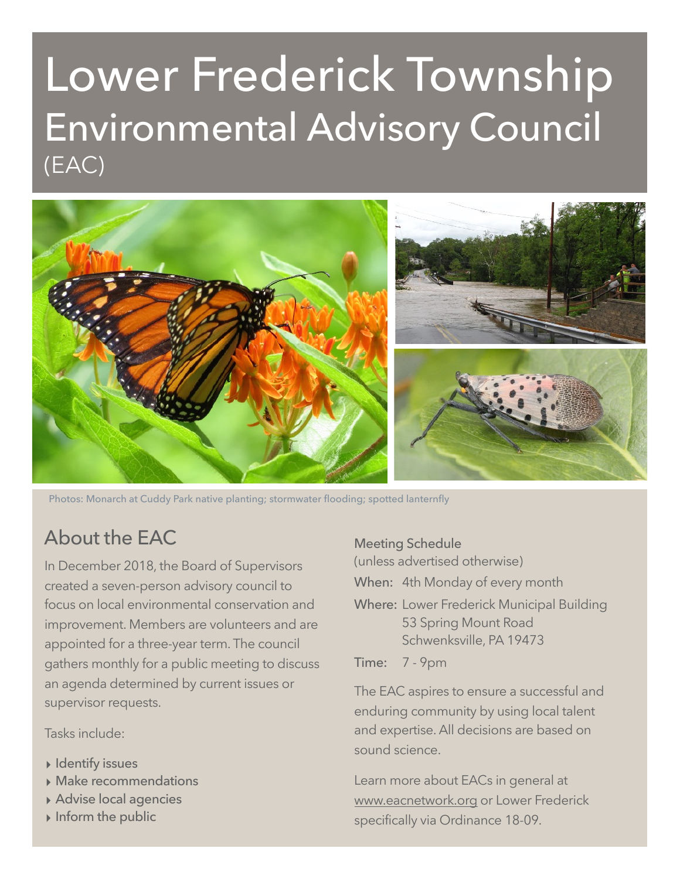# Lower Frederick Township Environmental Advisory Council (EAC)



Photos: Monarch at Cuddy Park native planting; stormwater flooding; spotted lanternfly

# About the EAC

In December 2018, the Board of Supervisors created a seven-person advisory council to focus on local environmental conservation and improvement. Members are volunteers and are appointed for a three-year term. The council gathers monthly for a public meeting to discuss an agenda determined by current issues or supervisor requests.

Tasks include:

- **‣** Identify issues
- **‣** Make recommendations
- **‣** Advise local agencies
- **‣** Inform the public

Meeting Schedule

(unless advertised otherwise)

When: 4th Monday of every month

Where: Lower Frederick Municipal Building 53 Spring Mount Road Schwenksville, PA 19473

Time: 7 - 9pm

The EAC aspires to ensure a successful and enduring community by using local talent and expertise. All decisions are based on sound science.

Learn more about EACs in general at [www.eacnetwork.org](http://www.eacnetwork.org) or Lower Frederick specifically via Ordinance 18-09.